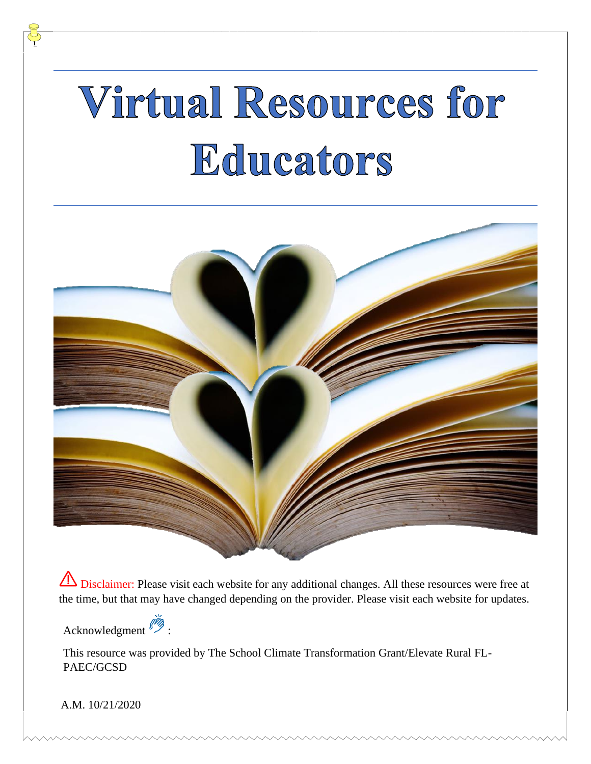# Virtual Resources for Educators



**IS** Disclaimer: Please visit each website for any additional changes. All these resources were free at the time, but that may have changed depending on the provider. Please visit each website for updates.

Acknowledgment :

This resource was provided by The School Climate Transformation Grant/Elevate Rural FL-PAEC/GCSD

A.M. 10/21/2020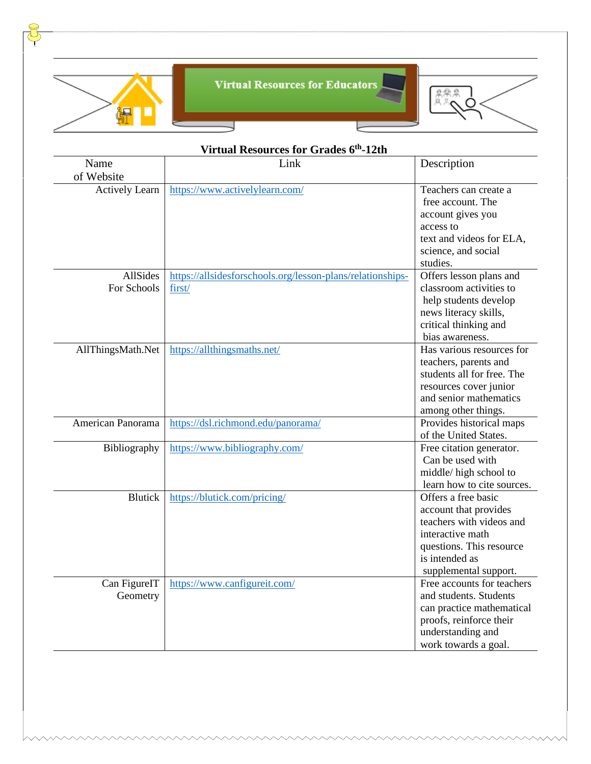

J

**Virtual Resources for Educators** 

⊣



| Virtual Resources for Grades 6th-12th |                                                                      |                                                                                                                                                                     |
|---------------------------------------|----------------------------------------------------------------------|---------------------------------------------------------------------------------------------------------------------------------------------------------------------|
| Name<br>of Website                    | Link                                                                 | Description                                                                                                                                                         |
| <b>Actively Learn</b>                 | https://www.activelylearn.com/                                       | Teachers can create a<br>free account. The<br>account gives you<br>access to<br>text and videos for ELA,<br>science, and social<br>studies.                         |
| AllSides<br>For Schools               | https://allsidesforschools.org/lesson-plans/relationships-<br>first/ | Offers lesson plans and<br>classroom activities to<br>help students develop<br>news literacy skills,<br>critical thinking and<br>bias awareness.                    |
| AllThingsMath.Net                     | https://allthingsmaths.net/                                          | Has various resources for<br>teachers, parents and<br>students all for free. The<br>resources cover junior<br>and senior mathematics<br>among other things.         |
| American Panorama                     | https://dsl.richmond.edu/panorama/                                   | Provides historical maps<br>of the United States.                                                                                                                   |
| Bibliography                          | https://www.bibliography.com/                                        | Free citation generator.<br>Can be used with<br>middle/high school to<br>learn how to cite sources.                                                                 |
| <b>Blutick</b>                        | https://blutick.com/pricing/                                         | Offers a free basic<br>account that provides<br>teachers with videos and<br>interactive math<br>questions. This resource<br>is intended as<br>supplemental support. |
| Can FigureIT<br>Geometry              | https://www.canfigureit.com/                                         | Free accounts for teachers<br>and students. Students<br>can practice mathematical<br>proofs, reinforce their<br>understanding and<br>work towards a goal.           |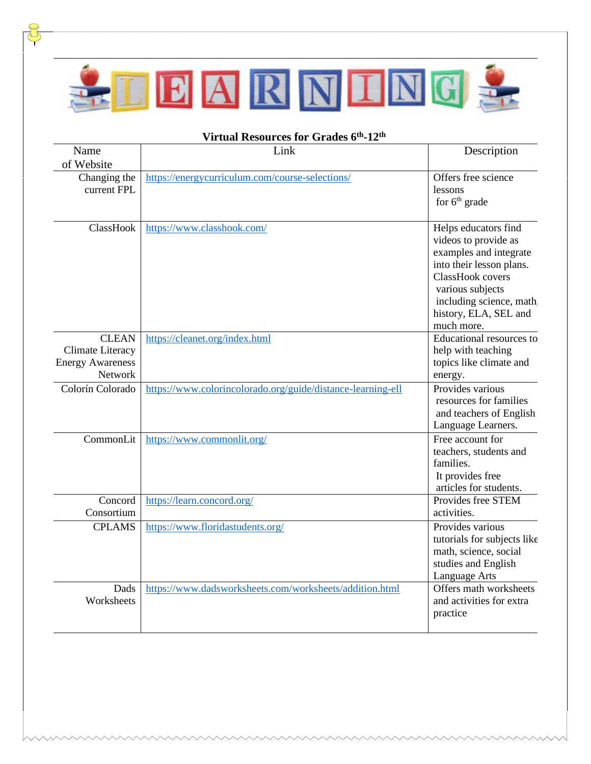

 $\frac{8}{5}$ 

| Virtual Resources for Grades 6th-12th                                  |                                                             |                                                                                                                                                                                                               |  |
|------------------------------------------------------------------------|-------------------------------------------------------------|---------------------------------------------------------------------------------------------------------------------------------------------------------------------------------------------------------------|--|
| Name<br>of Website                                                     | Link                                                        | Description                                                                                                                                                                                                   |  |
| Changing the<br>current FPL                                            | https://energycurriculum.com/course-selections/             | Offers free science<br>lessons<br>for $6th$ grade                                                                                                                                                             |  |
| ClassHook                                                              | https://www.classhook.com/                                  | Helps educators find<br>videos to provide as<br>examples and integrate<br>into their lesson plans.<br>ClassHook covers<br>various subjects<br>including science, math.<br>history, ELA, SEL and<br>much more. |  |
| <b>CLEAN</b><br>Climate Literacy<br><b>Energy Awareness</b><br>Network | https://cleanet.org/index.html                              | Educational resources to<br>help with teaching<br>topics like climate and<br>energy.                                                                                                                          |  |
| Colorín Colorado                                                       | https://www.colorincolorado.org/guide/distance-learning-ell | Provides various<br>resources for families<br>and teachers of English<br>Language Learners.                                                                                                                   |  |
| CommonLit                                                              | https://www.commonlit.org/                                  | Free account for<br>teachers, students and<br>families.<br>It provides free<br>articles for students.                                                                                                         |  |
| Concord<br>Consortium                                                  | https://learn.concord.org/                                  | Provides free STEM<br>activities.                                                                                                                                                                             |  |
| <b>CPLAMS</b>                                                          | https://www.floridastudents.org/                            | Provides various<br>tutorials for subjects like<br>math, science, social<br>studies and English<br>Language Arts                                                                                              |  |
| Dads<br>Worksheets                                                     | https://www.dadsworksheets.com/worksheets/addition.html     | Offers math worksheets<br>and activities for extra<br>practice                                                                                                                                                |  |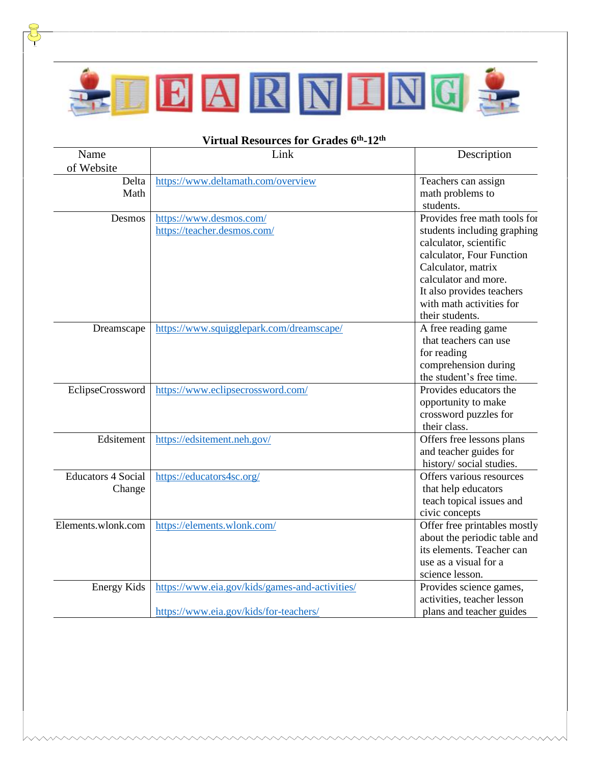

| Name<br>of Website                  | Link                                                                                     | Description                                                                                                                                                                                                                                  |
|-------------------------------------|------------------------------------------------------------------------------------------|----------------------------------------------------------------------------------------------------------------------------------------------------------------------------------------------------------------------------------------------|
| Delta<br>Math                       | https://www.deltamath.com/overview                                                       | Teachers can assign<br>math problems to<br>students.                                                                                                                                                                                         |
| Desmos                              | https://www.desmos.com/<br>https://teacher.desmos.com/                                   | Provides free math tools for<br>students including graphing<br>calculator, scientific<br>calculator, Four Function<br>Calculator, matrix<br>calculator and more.<br>It also provides teachers<br>with math activities for<br>their students. |
| Dreamscape                          | https://www.squigglepark.com/dreamscape/                                                 | A free reading game<br>that teachers can use<br>for reading<br>comprehension during<br>the student's free time.                                                                                                                              |
| EclipseCrossword                    | https://www.eclipsecrossword.com/                                                        | Provides educators the<br>opportunity to make<br>crossword puzzles for<br>their class.                                                                                                                                                       |
| Edsitement                          | https://edsitement.neh.gov/                                                              | Offers free lessons plans<br>and teacher guides for<br>history/social studies.                                                                                                                                                               |
| <b>Educators 4 Social</b><br>Change | https://educators4sc.org/                                                                | Offers various resources<br>that help educators<br>teach topical issues and<br>civic concepts                                                                                                                                                |
| Elements.wlonk.com                  | https://elements.wlonk.com/                                                              | Offer free printables mostly<br>about the periodic table and<br>its elements. Teacher can<br>use as a visual for a<br>science lesson.                                                                                                        |
| <b>Energy Kids</b>                  | https://www.eia.gov/kids/games-and-activities/<br>https://www.eia.gov/kids/for-teachers/ | Provides science games,<br>activities, teacher lesson<br>plans and teacher guides                                                                                                                                                            |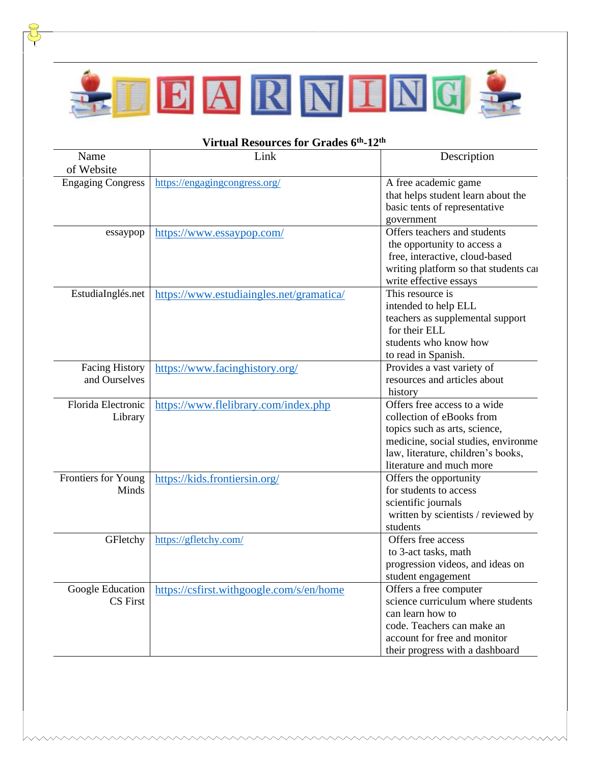

| Name<br>of Website                     | Link                                     | Description                                                                                                                                                                                         |
|----------------------------------------|------------------------------------------|-----------------------------------------------------------------------------------------------------------------------------------------------------------------------------------------------------|
| <b>Engaging Congress</b>               | https://engagingcongress.org/            | A free academic game<br>that helps student learn about the<br>basic tents of representative<br>government                                                                                           |
| essaypop                               | https://www.essaypop.com/                | Offers teachers and students<br>the opportunity to access a<br>free, interactive, cloud-based<br>writing platform so that students can<br>write effective essays                                    |
| EstudiaInglés.net                      | https://www.estudiaingles.net/gramatica/ | This resource is<br>intended to help ELL<br>teachers as supplemental support<br>for their ELL<br>students who know how<br>to read in Spanish.                                                       |
| <b>Facing History</b><br>and Ourselves | https://www.facinghistory.org/           | Provides a vast variety of<br>resources and articles about<br>history                                                                                                                               |
| Florida Electronic<br>Library          | https://www.flelibrary.com/index.php     | Offers free access to a wide<br>collection of eBooks from<br>topics such as arts, science,<br>medicine, social studies, environme<br>law, literature, children's books,<br>literature and much more |
| Frontiers for Young<br>Minds           | https://kids.frontiersin.org/            | Offers the opportunity<br>for students to access<br>scientific journals<br>written by scientists / reviewed by<br>students                                                                          |
| GFletchy                               | https://gfletchy.com/                    | Offers free access<br>to 3-act tasks, math<br>progression videos, and ideas on<br>student engagement                                                                                                |
| Google Education<br><b>CS</b> First    | https://csfirst.withgoogle.com/s/en/home | Offers a free computer<br>science curriculum where students<br>can learn how to<br>code. Teachers can make an<br>account for free and monitor<br>their progress with a dashboard                    |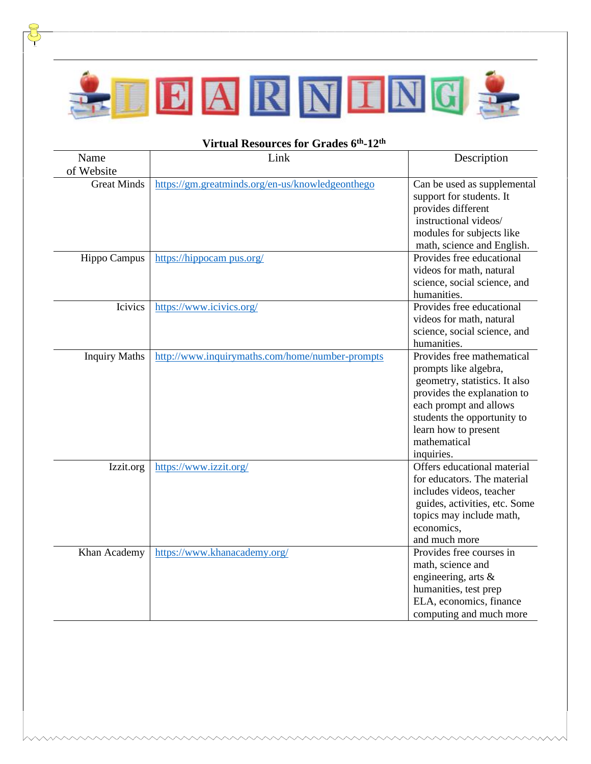

| Name                 | Link                                             | Description                                                                                                                                                                                                                        |
|----------------------|--------------------------------------------------|------------------------------------------------------------------------------------------------------------------------------------------------------------------------------------------------------------------------------------|
| of Website           |                                                  |                                                                                                                                                                                                                                    |
| <b>Great Minds</b>   | https://gm.greatminds.org/en-us/knowledgeonthego | Can be used as supplemental<br>support for students. It<br>provides different<br>instructional videos/<br>modules for subjects like<br>math, science and English.                                                                  |
| Hippo Campus         | https://hippocam pus.org/                        | Provides free educational<br>videos for math, natural<br>science, social science, and<br>humanities.                                                                                                                               |
| Icivics              | https://www.icivics.org/                         | Provides free educational<br>videos for math, natural<br>science, social science, and<br>humanities.                                                                                                                               |
| <b>Inquiry Maths</b> | http://www.inquirymaths.com/home/number-prompts  | Provides free mathematical<br>prompts like algebra,<br>geometry, statistics. It also<br>provides the explanation to<br>each prompt and allows<br>students the opportunity to<br>learn how to present<br>mathematical<br>inquiries. |
| Izzit.org            | https://www.izzit.org/                           | Offers educational material<br>for educators. The material<br>includes videos, teacher<br>guides, activities, etc. Some<br>topics may include math,<br>economics,<br>and much more                                                 |
| Khan Academy         | https://www.khanacademy.org/                     | Provides free courses in<br>math, science and<br>engineering, arts &<br>humanities, test prep<br>ELA, economics, finance<br>computing and much more                                                                                |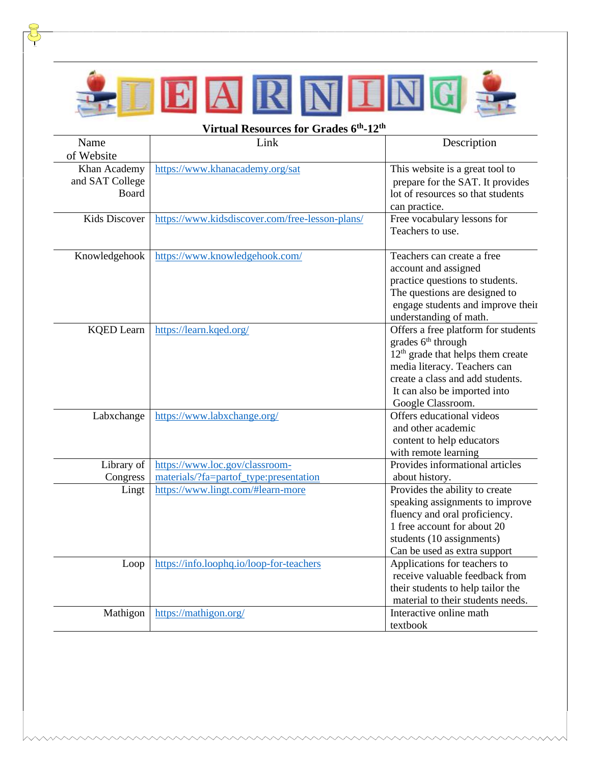

| Virtual Resources for Grades 6th-12th    |                                                 |                                                                                                                                                                                                                                                 |  |
|------------------------------------------|-------------------------------------------------|-------------------------------------------------------------------------------------------------------------------------------------------------------------------------------------------------------------------------------------------------|--|
| Name                                     | Link                                            | Description                                                                                                                                                                                                                                     |  |
| of Website                               |                                                 |                                                                                                                                                                                                                                                 |  |
| Khan Academy<br>and SAT College<br>Board | https://www.khanacademy.org/sat                 | This website is a great tool to<br>prepare for the SAT. It provides<br>lot of resources so that students                                                                                                                                        |  |
|                                          |                                                 | can practice.                                                                                                                                                                                                                                   |  |
| <b>Kids Discover</b>                     | https://www.kidsdiscover.com/free-lesson-plans/ | Free vocabulary lessons for<br>Teachers to use.                                                                                                                                                                                                 |  |
| Knowledgehook                            | https://www.knowledgehook.com/                  | Teachers can create a free<br>account and assigned<br>practice questions to students.<br>The questions are designed to<br>engage students and improve their<br>understanding of math.                                                           |  |
| <b>KQED</b> Learn                        | https://learn.kqed.org/                         | Offers a free platform for students<br>grades 6 <sup>th</sup> through<br>12 <sup>th</sup> grade that helps them create<br>media literacy. Teachers can<br>create a class and add students.<br>It can also be imported into<br>Google Classroom. |  |
| Labxchange                               | https://www.labxchange.org/                     | Offers educational videos<br>and other academic<br>content to help educators<br>with remote learning                                                                                                                                            |  |
| Library of                               | https://www.loc.gov/classroom-                  | Provides informational articles                                                                                                                                                                                                                 |  |
| Congress                                 | materials/?fa=partof_type:presentation          | about history.                                                                                                                                                                                                                                  |  |
| Lingt                                    | https://www.lingt.com/#learn-more               | Provides the ability to create<br>speaking assignments to improve<br>fluency and oral proficiency.<br>1 free account for about 20<br>students (10 assignments)<br>Can be used as extra support                                                  |  |
| Loop                                     | https://info.loophq.io/loop-for-teachers        | Applications for teachers to<br>receive valuable feedback from<br>their students to help tailor the<br>material to their students needs.                                                                                                        |  |
| Mathigon                                 | https://mathigon.org/                           | Interactive online math<br>textbook                                                                                                                                                                                                             |  |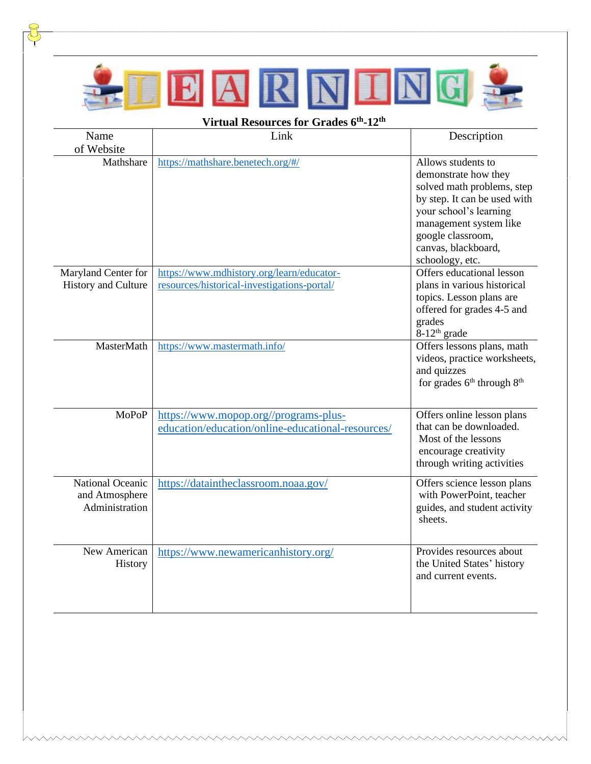

じ

| Name                             | Link                                              | Description                                                                                                                                                                                                                 |
|----------------------------------|---------------------------------------------------|-----------------------------------------------------------------------------------------------------------------------------------------------------------------------------------------------------------------------------|
| of Website                       |                                                   |                                                                                                                                                                                                                             |
| Mathshare                        | https://mathshare.benetech.org/#/                 | Allows students to<br>demonstrate how they<br>solved math problems, step<br>by step. It can be used with<br>your school's learning<br>management system like<br>google classroom,<br>canvas, blackboard,<br>schoology, etc. |
| Maryland Center for              | https://www.mdhistory.org/learn/educator-         | Offers educational lesson                                                                                                                                                                                                   |
| <b>History and Culture</b>       | resources/historical-investigations-portal/       | plans in various historical                                                                                                                                                                                                 |
|                                  |                                                   | topics. Lesson plans are<br>offered for grades 4-5 and<br>grades<br>$8-12$ <sup>th</sup> grade                                                                                                                              |
| MasterMath                       | https://www.mastermath.info/                      | Offers lessons plans, math                                                                                                                                                                                                  |
|                                  |                                                   | videos, practice worksheets,<br>and quizzes<br>for grades 6 <sup>th</sup> through 8 <sup>th</sup>                                                                                                                           |
| <b>MoPoP</b>                     | https://www.mopop.org//programs-plus-             | Offers online lesson plans                                                                                                                                                                                                  |
|                                  | education/education/online-educational-resources/ | that can be downloaded.<br>Most of the lessons<br>encourage creativity<br>through writing activities                                                                                                                        |
| National Oceanic                 | https://dataintheclassroom.noaa.gov/              | Offers science lesson plans                                                                                                                                                                                                 |
| and Atmosphere<br>Administration |                                                   | with PowerPoint, teacher<br>guides, and student activity<br>sheets.                                                                                                                                                         |
| New American<br>History          | https://www.newamericanhistory.org/               | Provides resources about<br>the United States' history<br>and current events.                                                                                                                                               |
|                                  |                                                   |                                                                                                                                                                                                                             |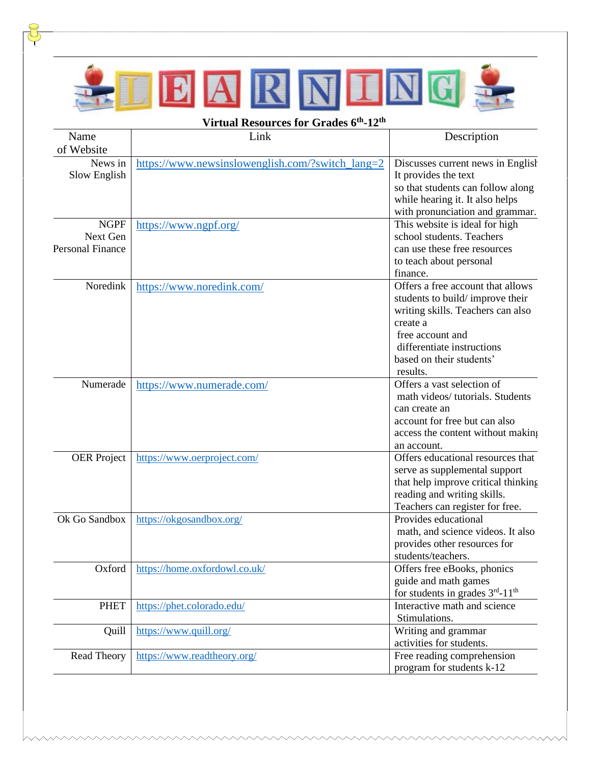

| Name                    | Link                                             | Description                                                                                             |
|-------------------------|--------------------------------------------------|---------------------------------------------------------------------------------------------------------|
| of Website              |                                                  |                                                                                                         |
| News in<br>Slow English | https://www.newsinslowenglish.com/?switch_lang=2 | Discusses current news in English<br>It provides the text                                               |
|                         |                                                  | so that students can follow along<br>while hearing it. It also helps<br>with pronunciation and grammar. |
| <b>NGPF</b>             | https://www.ngpf.org/                            | This website is ideal for high                                                                          |
| Next Gen                |                                                  | school students. Teachers                                                                               |
| <b>Personal Finance</b> |                                                  | can use these free resources                                                                            |
|                         |                                                  | to teach about personal                                                                                 |
| Noredink                |                                                  | finance.<br>Offers a free account that allows                                                           |
|                         | https://www.noredink.com/                        | students to build/improve their                                                                         |
|                         |                                                  | writing skills. Teachers can also                                                                       |
|                         |                                                  | create a                                                                                                |
|                         |                                                  | free account and                                                                                        |
|                         |                                                  | differentiate instructions                                                                              |
|                         |                                                  | based on their students'                                                                                |
|                         |                                                  | results.                                                                                                |
| Numerade                | https://www.numerade.com/                        | Offers a vast selection of                                                                              |
|                         |                                                  | math videos/tutorials. Students                                                                         |
|                         |                                                  | can create an                                                                                           |
|                         |                                                  | account for free but can also                                                                           |
|                         |                                                  | access the content without making                                                                       |
| <b>OER</b> Project      | https://www.oerproject.com/                      | an account.<br>Offers educational resources that                                                        |
|                         |                                                  | serve as supplemental support                                                                           |
|                         |                                                  | that help improve critical thinking                                                                     |
|                         |                                                  | reading and writing skills.                                                                             |
|                         |                                                  | Teachers can register for free.                                                                         |
| Ok Go Sandbox           | https://okgosandbox.org/                         | Provides educational                                                                                    |
|                         |                                                  | math, and science videos. It also                                                                       |
|                         |                                                  | provides other resources for                                                                            |
|                         |                                                  | students/teachers.                                                                                      |
| Oxford                  | https://home.oxfordowl.co.uk/                    | Offers free eBooks, phonics                                                                             |
|                         |                                                  | guide and math games                                                                                    |
|                         |                                                  | for students in grades 3rd-11 <sup>th</sup>                                                             |
| <b>PHET</b>             | https://phet.colorado.edu/                       | Interactive math and science                                                                            |
|                         |                                                  | Stimulations.                                                                                           |
| Quill                   | https://www.quill.org/                           | Writing and grammar<br>activities for students.                                                         |
| Read Theory             | https://www.readtheory.org/                      | Free reading comprehension                                                                              |
|                         |                                                  | program for students k-12                                                                               |
|                         |                                                  |                                                                                                         |